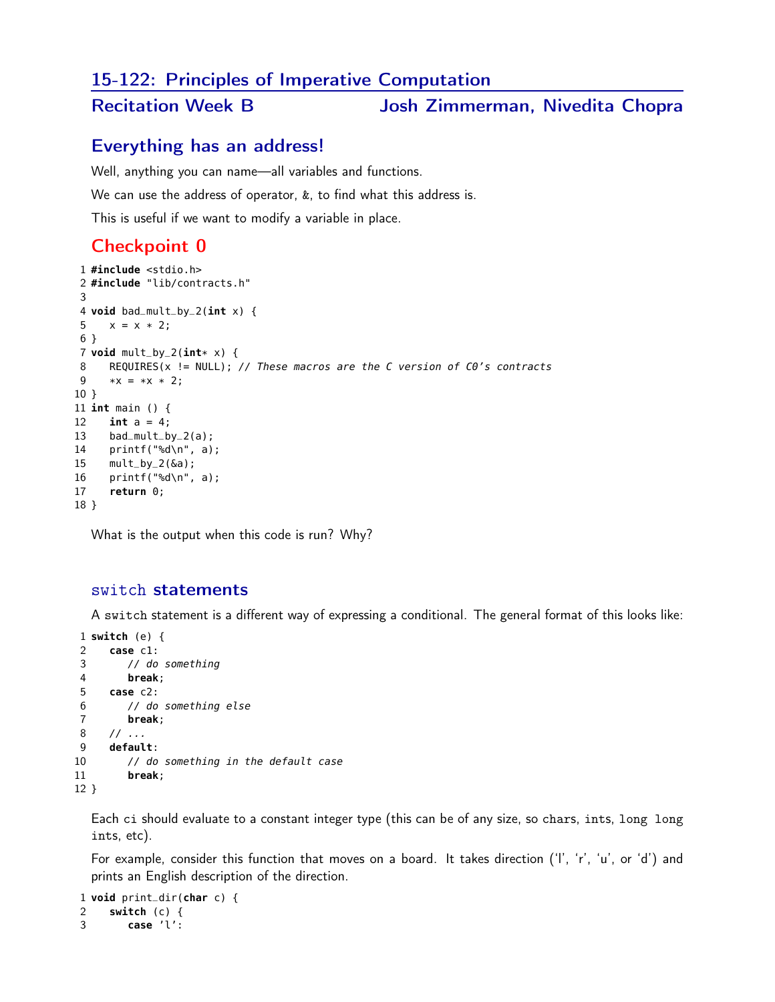### 15-122: Principles of Imperative Computation

## Recitation Week B Josh Zimmerman, Nivedita Chopra

### Everything has an address!

Well, anything you can name—all variables and functions.

We can use the address of operator,  $k$ , to find what this address is.

This is useful if we want to modify a variable in place.

## Checkpoint 0

```
1 #include <stdio.h>
2 #include "lib/contracts.h"
3
4 void bad_mult_by_2(int x) {
5 x = x * 2;
6 }
7 void mult_by_2(int* x) {
     REQUIRES(x != NULL); // These macros are the C version of C0's contracts
9 *x = *x * 2;10 }
11 int main () {
12 int a = 4;
13 bad_mult_by_2(a);
14 printf("%d\n", a);
15 mult_by_2(\deltaa);
16 printf("%d\n", a);
17 return 0;
18 }
```
What is the output when this code is run? Why?

#### switch statements

A switch statement is a different way of expressing a conditional. The general format of this looks like:

```
1 switch (e) {
2 case c1:
3 // do something
4 break;
5 case c2:
6 // do something else
7 break;
8 / / ...9 default:
10 // do something in the default case
11 break;
12 }
```
Each ci should evaluate to a constant integer type (this can be of any size, so chars, ints, long long ints, etc).

For example, consider this function that moves on a board. It takes direction ('l', 'r', 'u', or 'd') and prints an English description of the direction.

```
1 void print_dir(char c) {
2 switch (c) {
3 case 'l':
```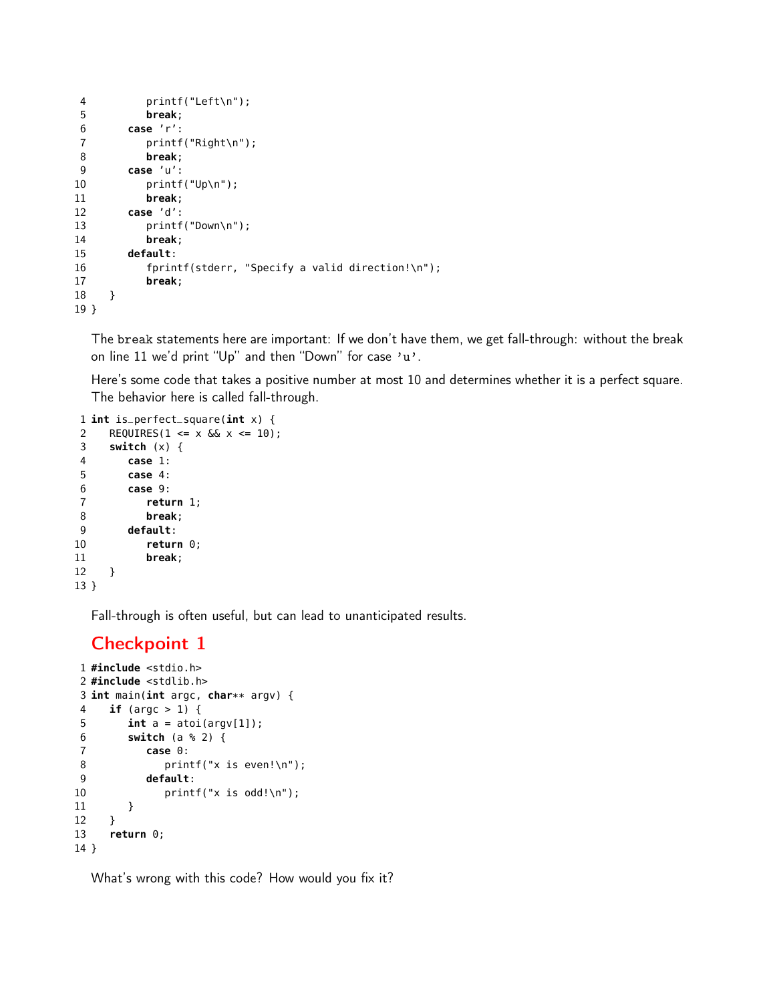```
4 printf("Left\n");
5 break;
6 case 'r':
7 printf("Right\n");
8 break;
9 case 'u':
10 printf("Up\n");
11 break;
12 case 'd':
13 printf("Down\n");
14 break;
15 default:
16 fprintf(stderr, "Specify a valid direction!\n");
17 break;
18 }
19 }
```
The break statements here are important: If we don't have them, we get fall-through: without the break on line 11 we'd print "Up" and then "Down" for case 'u'.

Here's some code that takes a positive number at most 10 and determines whether it is a perfect square. The behavior here is called fall-through.

```
1 int is_perfect_square(int x) {
2 REQUIRES(1 <= x & x <= 10);
3 switch (x) {
4 case 1:
5 case 4:
6 case 9:
7 return 1;
8 break;
9 default:
10 return 0;
11 break;
12 }
13 }
```
Fall-through is often useful, but can lead to unanticipated results.

# Checkpoint 1

```
1 #include <stdio.h>
2 #include <stdlib.h>
3 int main(int argc, char** argv) {
4 if (argc > 1) {
5 int a = atoi(argv[1]);
6 switch (a % 2) {
7 case 0:
8 printf("x is even!\n");
9 default:
10 printf("x is odd!\n");
11 }
12 }
13 return 0;
14 }
```
What's wrong with this code? How would you fix it?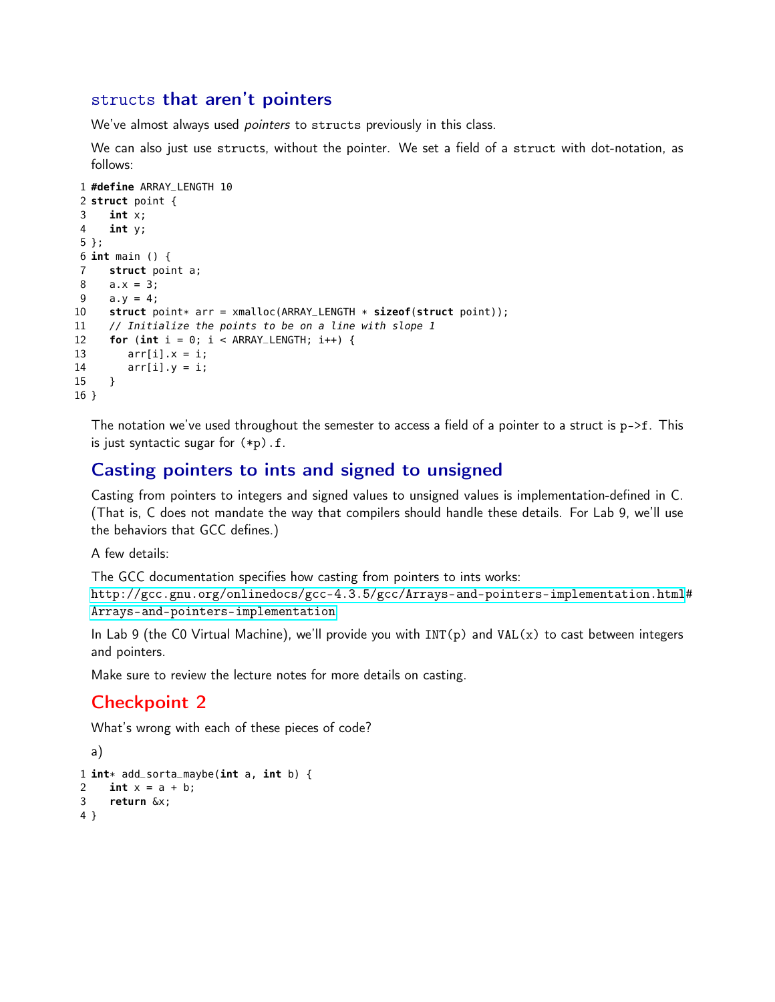### structs that aren't pointers

We've almost always used *pointers* to structs previously in this class.

We can also just use structs, without the pointer. We set a field of a struct with dot-notation, as follows:

```
1 #define ARRAY_LENGTH 10
 2 struct point {
 3 int x;
 4 int y;
 5 };
 6 int main () {
 7 struct point a;
 8 a.x = 3;
 9 a.y = 4;10 struct point* arr = xmalloc(ARRAY_LENGTH * sizeof(struct point));<br>11 // Initialize the points to be on a line with slope 1
      // Initialize the points to be on a line with slope 1
12 for (int i = 0; i < ARRAY_LENGTH; i++) {
13 \arr[i].x = i;14 arr[i].y = i;
15 }
16 }
```
The notation we've used throughout the semester to access a field of a pointer to a struct is  $p\rightarrow f$ . This is just syntactic sugar for (\*p).f.

## Casting pointers to ints and signed to unsigned

Casting from pointers to integers and signed values to unsigned values is implementation-defined in C. (That is, C does not mandate the way that compilers should handle these details. For Lab 9, we'll use the behaviors that GCC defines.)

A few details:

The GCC documentation specifies how casting from pointers to ints works:

[http://gcc.gnu.org/onlinedocs/gcc-4.3.5/gcc/Arrays-and-pointers-implementation.html](http://gcc.gnu.org/onlinedocs/gcc-4.3.5/gcc/Arrays-and-pointers-implementation.html#Arrays-and-pointers-implementation)# [Arrays-and-pointers-implementation](http://gcc.gnu.org/onlinedocs/gcc-4.3.5/gcc/Arrays-and-pointers-implementation.html#Arrays-and-pointers-implementation)

In Lab 9 (the C0 Virtual Machine), we'll provide you with INT(p) and VAL(x) to cast between integers and pointers.

Make sure to review the lecture notes for more details on casting.

### Checkpoint 2

What's wrong with each of these pieces of code?

```
a)
1 int* add_sorta_maybe(int a, int b) {<br>2 int x = a + b;
     int x = a + b;3 return &x;
4 }
```